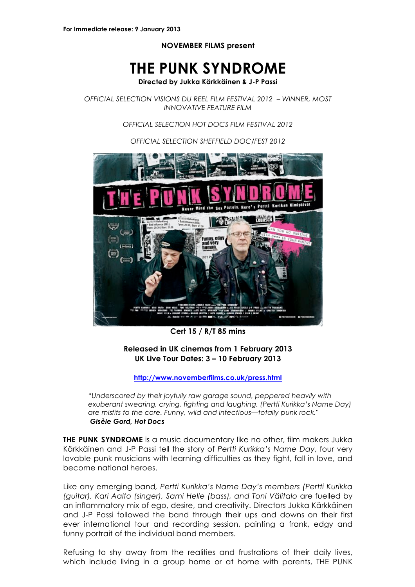**NOVEMBER FILMS present**

# **THE PUNK SYNDROME**

**Directed by Jukka Kärkkäinen & J-P Passi**

*OFFICIAL SELECTION VISIONS DU REEL FILM FESTIVAL 2012 – WINNER, MOST INNOVATIVE FEATURE FILM*

*OFFICIAL SELECTION HOT DOCS FILM FESTIVAL 2012*

*OFFICIAL SELECTION SHEFFIELD DOC/FEST 2012*



**Cert 15 / R/T 85 mins** 

## **Released in UK cinemas from 1 February 2013 UK Live Tour Dates: 3 – 10 February 2013**

#### **http://www.novemberfilms.co.uk/press.html**

*"Underscored by their joyfully raw garage sound, peppered heavily with exuberant swearing, crying, fighting and laughing. (Pertti Kurikka's Name Day) are misfits to the core. Funny, wild and infectious—totally punk rock." Gisèle Gord, Hot Docs*

**THE PUNK SYNDROME** is a music documentary like no other, film makers Jukka Kärkkäinen and J-P Passi tell the story of *Pertti Kurikka's Name Day*, four very lovable punk musicians with learning difficulties as they fight, fall in love, and become national heroes.

Like any emerging band*, Pertti Kurikka's Name Day's members (Pertti Kurikka (guitar), Kari Aalto (singer), Sami Helle (bass), and Toni Välitalo* are fuelled by an inflammatory mix of ego, desire, and creativity. Directors Jukka Kärkkäinen and J-P Passi followed the band through their ups and downs on their first ever international tour and recording session, painting a frank, edgy and funny portrait of the individual band members.

Refusing to shy away from the realities and frustrations of their daily lives, which include living in a group home or at home with parents, THE PUNK